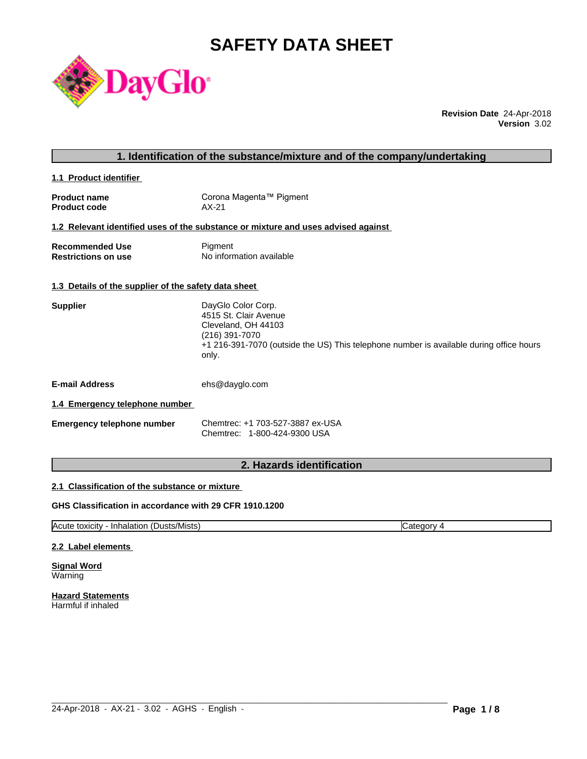# **SAFETY DATA SHEET**



**Revision Date** 24-Apr-2018 **Version** 3.02

| 1. Identification of the substance/mixture and of the company/undertaking |                         |  |
|---------------------------------------------------------------------------|-------------------------|--|
| 1.1 Product identifier                                                    |                         |  |
| <b>Product name</b>                                                       | Corona Magenta™ Pigment |  |

**Product code** AX-21

# **1.2 Relevant identified uses of the substance or mixture and uses advised against**

| <b>Recommended Use</b>     | Pigment                  |
|----------------------------|--------------------------|
| <b>Restrictions on use</b> | No information available |

# **1.3 Details of the supplier of the safety data sheet**

| Supplier | DayGlo Color Corp.                                                                               |
|----------|--------------------------------------------------------------------------------------------------|
|          | 4515 St. Clair Avenue                                                                            |
|          | Cleveland, OH 44103                                                                              |
|          | (216) 391-7070                                                                                   |
|          | +1 216-391-7070 (outside the US) This telephone number is available during office hours<br>only. |
|          |                                                                                                  |

**E-mail Address** ehs@dayglo.com

# **1.4 Emergency telephone number**

| <b>Emergency telephone number</b> | Chemtrec: +1 703-527-3887 ex-USA |
|-----------------------------------|----------------------------------|
|                                   | Chemtrec: 1-800-424-9300 USA     |

# **2. Hazards identification**

# **2.1 Classification of the substance or mixture**

# **GHS Classification in accordance with 29 CFR 1910.1200**

Acute toxicity - Inhalation (Dusts/Mists) Category 4

 $\_$  ,  $\_$  ,  $\_$  ,  $\_$  ,  $\_$  ,  $\_$  ,  $\_$  ,  $\_$  ,  $\_$  ,  $\_$  ,  $\_$  ,  $\_$  ,  $\_$  ,  $\_$  ,  $\_$  ,  $\_$  ,  $\_$  ,  $\_$  ,  $\_$  ,  $\_$  ,  $\_$  ,  $\_$  ,  $\_$  ,  $\_$  ,  $\_$  ,  $\_$  ,  $\_$  ,  $\_$  ,  $\_$  ,  $\_$  ,  $\_$  ,  $\_$  ,  $\_$  ,  $\_$  ,  $\_$  ,  $\_$  ,  $\_$  ,

# **2.2 Label elements**

**Signal Word** Warning

**Hazard Statements** Harmful if inhaled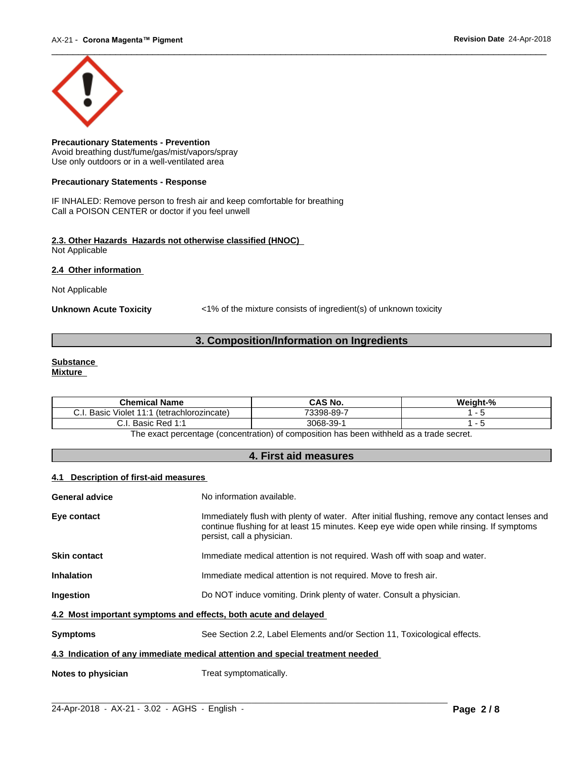

**Precautionary Statements - Prevention** Avoid breathing dust/fume/gas/mist/vapors/spray Use only outdoors or in a well-ventilated area

# **Precautionary Statements - Response**

IF INHALED: Remove person to fresh air and keep comfortable for breathing Call a POISON CENTER or doctor if you feel unwell

#### **2.3. Other Hazards Hazards not otherwise classified (HNOC)** Not Applicable

**2.4 Other information** 

Not Applicable

**Unknown Acute Toxicity** <1% of the mixture consists of ingredient(s) of unknown toxicity

# **3. Composition/Information on Ingredients**

#### **Substance Mixture**

| <b>Chemical Name</b>                               | <b>CAS No.</b>          | $\mathbf{a}$<br>.<br>weight-% |
|----------------------------------------------------|-------------------------|-------------------------------|
| (tetrachlorozincate)<br>. Basir<br>Violet<br><br>◡ | 73398-89-7              |                               |
| <b>Pod 1.1</b><br>Basir<br>115L<br>◡…              | 3068-.<br>$\sim$<br>34- |                               |

The exact percentage (concentration) of composition has been withheld as a trade secret.

# **4. First aid measures**

# **4.1 Description of first-aid measures**

| General advice                                                                 | No information available.                                                                                                                                                                                               |  |
|--------------------------------------------------------------------------------|-------------------------------------------------------------------------------------------------------------------------------------------------------------------------------------------------------------------------|--|
| Eye contact                                                                    | Immediately flush with plenty of water. After initial flushing, remove any contact lenses and<br>continue flushing for at least 15 minutes. Keep eye wide open while rinsing. If symptoms<br>persist, call a physician. |  |
| Skin contact                                                                   | Immediate medical attention is not required. Wash off with soap and water.                                                                                                                                              |  |
| Inhalation                                                                     | Immediate medical attention is not required. Move to fresh air.                                                                                                                                                         |  |
| Ingestion                                                                      | Do NOT induce vomiting. Drink plenty of water. Consult a physician.                                                                                                                                                     |  |
| 4.2 Most important symptoms and effects, both acute and delayed                |                                                                                                                                                                                                                         |  |
| Svmptoms                                                                       | See Section 2.2, Label Elements and/or Section 11, Toxicological effects.                                                                                                                                               |  |
| 4.3 Indication of any immediate medical attention and special treatment needed |                                                                                                                                                                                                                         |  |
| Notes to physician                                                             | Treat symptomatically.                                                                                                                                                                                                  |  |
|                                                                                |                                                                                                                                                                                                                         |  |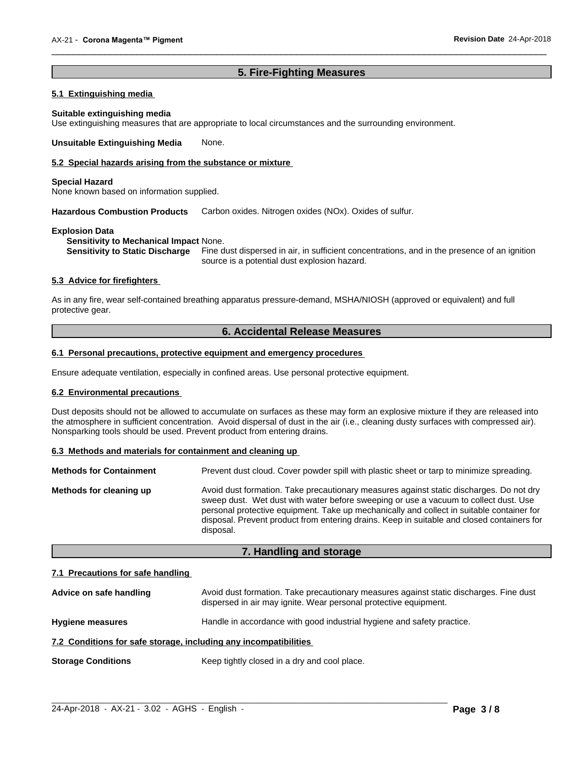# **5. Fire-Fighting Measures**

 $\overline{\phantom{a}}$  ,  $\overline{\phantom{a}}$  ,  $\overline{\phantom{a}}$  ,  $\overline{\phantom{a}}$  ,  $\overline{\phantom{a}}$  ,  $\overline{\phantom{a}}$  ,  $\overline{\phantom{a}}$  ,  $\overline{\phantom{a}}$  ,  $\overline{\phantom{a}}$  ,  $\overline{\phantom{a}}$  ,  $\overline{\phantom{a}}$  ,  $\overline{\phantom{a}}$  ,  $\overline{\phantom{a}}$  ,  $\overline{\phantom{a}}$  ,  $\overline{\phantom{a}}$  ,  $\overline{\phantom{a}}$ 

# **5.1 Extinguishing media**

#### **Suitable extinguishing media**

Use extinguishing measures that are appropriate to local circumstances and the surrounding environment.

**Unsuitable Extinguishing Media** None.

#### **5.2 Special hazards arising from the substance or mixture**

#### **Special Hazard**

None known based on information supplied.

**Hazardous Combustion Products** Carbon oxides. Nitrogen oxides (NOx). Oxides of sulfur.

#### **Explosion Data**

**Sensitivity to Mechanical Impact** None.

**Sensitivity to Static Discharge** Fine dust dispersed in air, in sufficient concentrations, and in the presence of an ignition source is a potential dust explosion hazard.

# **5.3 Advice for firefighters**

As in any fire, wear self-contained breathing apparatus pressure-demand, MSHA/NIOSH (approved or equivalent) and full protective gear.

# **6. Accidental Release Measures**

# **6.1 Personal precautions, protective equipment and emergency procedures**

Ensure adequate ventilation, especially in confined areas. Use personal protective equipment.

# **6.2 Environmental precautions**

Dust deposits should not be allowed to accumulate on surfaces as these may form an explosive mixture if they are released into the atmosphere in sufficient concentration. Avoid dispersal of dust in the air (i.e., cleaning dusty surfaces with compressed air). Nonsparking tools should be used. Prevent product from entering drains.

#### **6.3 Methods and materials for containment and cleaning up**

| <b>Methods for Containment</b> | Prevent dust cloud. Cover powder spill with plastic sheet or tarp to minimize spreading.                                                                                                                                                                                                                                                                                                |
|--------------------------------|-----------------------------------------------------------------------------------------------------------------------------------------------------------------------------------------------------------------------------------------------------------------------------------------------------------------------------------------------------------------------------------------|
| Methods for cleaning up        | Avoid dust formation. Take precautionary measures against static discharges. Do not dry<br>sweep dust. Wet dust with water before sweeping or use a vacuum to collect dust. Use<br>personal protective equipment. Take up mechanically and collect in suitable container for<br>disposal. Prevent product from entering drains. Keep in suitable and closed containers for<br>disposal. |

# **7. Handling and storage**

# **7.1 Precautions for safe handling**

| Advice on safe handling                                          | Avoid dust formation. Take precautionary measures against static discharges. Fine dust<br>dispersed in air may ignite. Wear personal protective equipment. |  |
|------------------------------------------------------------------|------------------------------------------------------------------------------------------------------------------------------------------------------------|--|
| <b>Hygiene measures</b>                                          | Handle in accordance with good industrial hygiene and safety practice.                                                                                     |  |
| 7.2 Conditions for safe storage, including any incompatibilities |                                                                                                                                                            |  |
| <b>Storage Conditions</b>                                        | Keep tightly closed in a dry and cool place.                                                                                                               |  |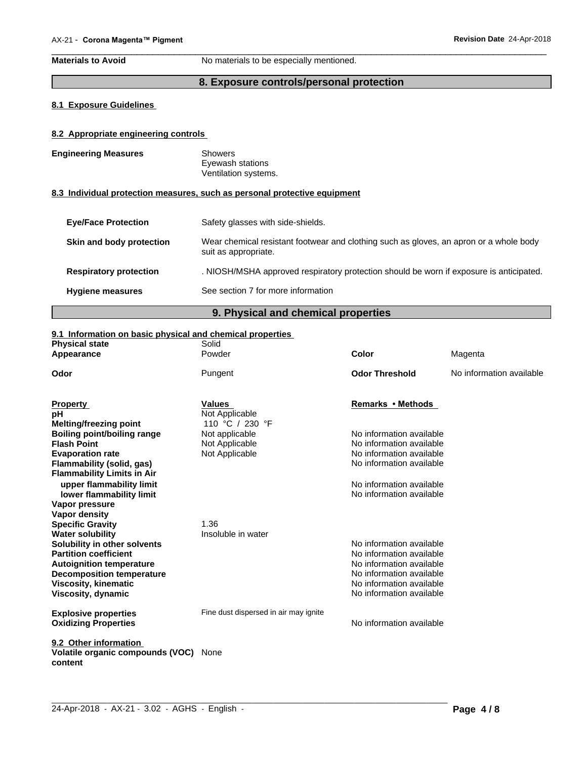**Materials to Avoid** No materials to be especially mentioned.

# **8. Exposure controls/personal protection**

 $\overline{\phantom{a}}$  ,  $\overline{\phantom{a}}$  ,  $\overline{\phantom{a}}$  ,  $\overline{\phantom{a}}$  ,  $\overline{\phantom{a}}$  ,  $\overline{\phantom{a}}$  ,  $\overline{\phantom{a}}$  ,  $\overline{\phantom{a}}$  ,  $\overline{\phantom{a}}$  ,  $\overline{\phantom{a}}$  ,  $\overline{\phantom{a}}$  ,  $\overline{\phantom{a}}$  ,  $\overline{\phantom{a}}$  ,  $\overline{\phantom{a}}$  ,  $\overline{\phantom{a}}$  ,  $\overline{\phantom{a}}$ 

# **8.1 Exposure Guidelines**

# **8.2 Appropriate engineering controls**

| <b>Engineering Measures</b> | Showers<br>Eyewash stations<br>Ventilation systems. |
|-----------------------------|-----------------------------------------------------|
|                             |                                                     |

# **8.3 Individual protection measures, such as personal protective equipment**

| <b>Eye/Face Protection</b>    | Safety glasses with side-shields.                                                                              |
|-------------------------------|----------------------------------------------------------------------------------------------------------------|
| Skin and body protection      | Wear chemical resistant footwear and clothing such as gloves, an apron or a whole body<br>suit as appropriate. |
| <b>Respiratory protection</b> | . NIOSH/MSHA approved respiratory protection should be worn if exposure is anticipated.                        |
| <b>Hygiene measures</b>       | See section 7 for more information                                                                             |
|                               |                                                                                                                |

# **9. Physical and chemical properties**

# **9.1 Information on basic physical and chemical properties**

| <b>Physical state</b><br>Appearance | Solid<br>Powder                       | <b>Color</b>             | Magenta                  |
|-------------------------------------|---------------------------------------|--------------------------|--------------------------|
|                                     |                                       |                          |                          |
| Odor                                | Pungent                               | <b>Odor Threshold</b>    | No information available |
| <b>Property</b>                     | <b>Values</b>                         | Remarks • Methods        |                          |
| рH                                  | Not Applicable                        |                          |                          |
| <b>Melting/freezing point</b>       | 110 °C / 230 °F                       |                          |                          |
| <b>Boiling point/boiling range</b>  | Not applicable                        | No information available |                          |
| <b>Flash Point</b>                  | Not Applicable                        | No information available |                          |
| <b>Evaporation rate</b>             | Not Applicable                        | No information available |                          |
| Flammability (solid, gas)           |                                       | No information available |                          |
| <b>Flammability Limits in Air</b>   |                                       |                          |                          |
| upper flammability limit            |                                       | No information available |                          |
| lower flammability limit            |                                       | No information available |                          |
| Vapor pressure                      |                                       |                          |                          |
| Vapor density                       |                                       |                          |                          |
| <b>Specific Gravity</b>             | 1.36                                  |                          |                          |
| <b>Water solubility</b>             | Insoluble in water                    |                          |                          |
| Solubility in other solvents        |                                       | No information available |                          |
| <b>Partition coefficient</b>        |                                       | No information available |                          |
| <b>Autoignition temperature</b>     |                                       | No information available |                          |
| <b>Decomposition temperature</b>    |                                       | No information available |                          |
| <b>Viscosity, kinematic</b>         |                                       | No information available |                          |
| Viscosity, dynamic                  |                                       | No information available |                          |
| <b>Explosive properties</b>         | Fine dust dispersed in air may ignite |                          |                          |
| <b>Oxidizing Properties</b>         |                                       | No information available |                          |
|                                     |                                       |                          |                          |
| 9.2 Other information               |                                       |                          |                          |
| Volatile organic compounds (VOC)    | None                                  |                          |                          |
| content                             |                                       |                          |                          |
|                                     |                                       |                          |                          |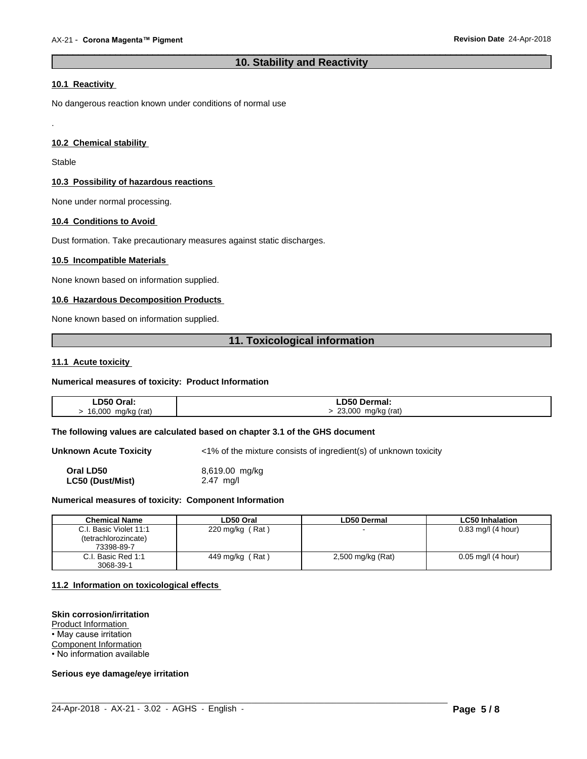# **10. Stability and Reactivity**

 $\overline{\phantom{a}}$  ,  $\overline{\phantom{a}}$  ,  $\overline{\phantom{a}}$  ,  $\overline{\phantom{a}}$  ,  $\overline{\phantom{a}}$  ,  $\overline{\phantom{a}}$  ,  $\overline{\phantom{a}}$  ,  $\overline{\phantom{a}}$  ,  $\overline{\phantom{a}}$  ,  $\overline{\phantom{a}}$  ,  $\overline{\phantom{a}}$  ,  $\overline{\phantom{a}}$  ,  $\overline{\phantom{a}}$  ,  $\overline{\phantom{a}}$  ,  $\overline{\phantom{a}}$  ,  $\overline{\phantom{a}}$ 

# **10.1 Reactivity**

No dangerous reaction known under conditions of normal use

# **10.2 Chemical stability**

**Stable** 

.

#### **10.3 Possibility of hazardous reactions**

None under normal processing.

# **10.4 Conditions to Avoid**

Dust formation. Take precautionary measures against static discharges.

#### **10.5 Incompatible Materials**

None known based on information supplied.

# **10.6 Hazardous Decomposition Products**

None known based on information supplied.

# **11. Toxicological information**

#### **11.1 Acute toxicity**

#### **Numerical measures of toxicity: Product Information**

| <b>LD50 Oral:</b>  | ∟D50 Dermal:            |
|--------------------|-------------------------|
| 16,000 mg/kg (rat) | 23,000 mg/kg (rat)<br>ີ |

#### **The following values are calculated based on chapter 3.1 of the GHS document**

**Unknown Acute Toxicity**  $\langle 1\% \rangle$  of the mixture consists of ingredient(s) of unknown toxicity

**Oral LD50** 8,619.00 mg/kg **LC50 (Dust/Mist)** 2.47 mg/l

#### **Numerical measures of toxicity: Component Information**

| <b>Chemical Name</b>                                              | LD50 Oral                    | <b>LD50 Dermal</b> | <b>LC50 Inhalation</b> |
|-------------------------------------------------------------------|------------------------------|--------------------|------------------------|
| l. Basic Violet 11:1<br>C.L<br>(tetrachlorozincate)<br>73398-89-7 | (Rat)<br>$220 \text{ mg/kg}$ |                    | $0.83$ mg/l (4 hour)   |
| . Basic Red 1:1<br>C.I.<br>3068-39-1                              | Rat)<br>449 mg/kg            | 2,500 mg/kg (Rat)  | $0.05$ mg/l (4 hour)   |

 $\_$  ,  $\_$  ,  $\_$  ,  $\_$  ,  $\_$  ,  $\_$  ,  $\_$  ,  $\_$  ,  $\_$  ,  $\_$  ,  $\_$  ,  $\_$  ,  $\_$  ,  $\_$  ,  $\_$  ,  $\_$  ,  $\_$  ,  $\_$  ,  $\_$  ,  $\_$  ,  $\_$  ,  $\_$  ,  $\_$  ,  $\_$  ,  $\_$  ,  $\_$  ,  $\_$  ,  $\_$  ,  $\_$  ,  $\_$  ,  $\_$  ,  $\_$  ,  $\_$  ,  $\_$  ,  $\_$  ,  $\_$  ,  $\_$  ,

# **11.2 Information on toxicologicaleffects**

#### **Skin corrosion/irritation**

Product Information

• May cause irritation

Component Information

• No information available

# **Serious eye damage/eye irritation**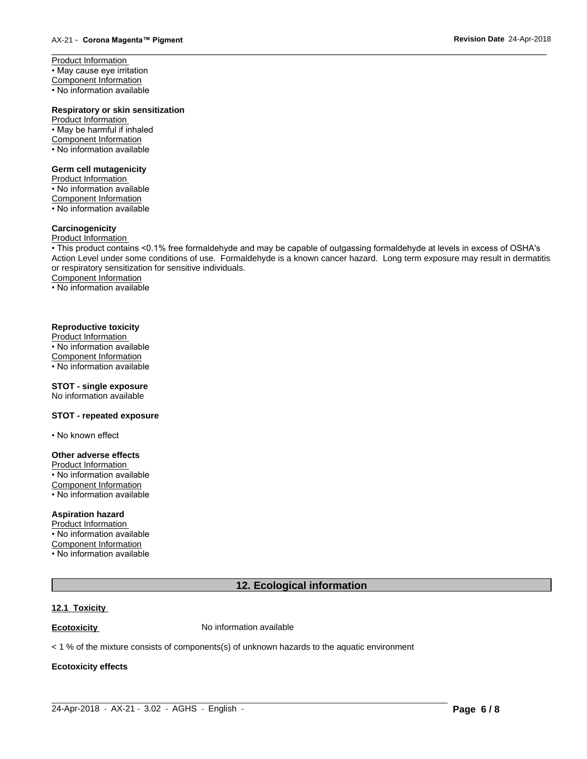Product Information • May cause eye irritation Component Information • No information available

# **Respiratory or skin sensitization**

Product Information • May be harmful if inhaled Component Information • No information available

#### **Germ cell mutagenicity**

Product Information • No information available Component Information • No information available

# **Carcinogenicity**

# Product Information

• This product contains <0.1% free formaldehyde and may be capable of outgassing formaldehyde at levels in excess of OSHA's Action Level under some conditions of use. Formaldehyde is a known cancer hazard. Long term exposure may result in dermatitis or respiratory sensitization for sensitive individuals.Component Information

 $\overline{\phantom{a}}$  ,  $\overline{\phantom{a}}$  ,  $\overline{\phantom{a}}$  ,  $\overline{\phantom{a}}$  ,  $\overline{\phantom{a}}$  ,  $\overline{\phantom{a}}$  ,  $\overline{\phantom{a}}$  ,  $\overline{\phantom{a}}$  ,  $\overline{\phantom{a}}$  ,  $\overline{\phantom{a}}$  ,  $\overline{\phantom{a}}$  ,  $\overline{\phantom{a}}$  ,  $\overline{\phantom{a}}$  ,  $\overline{\phantom{a}}$  ,  $\overline{\phantom{a}}$  ,  $\overline{\phantom{a}}$ 

• No information available

# **Reproductive toxicity**

Product Information • No information available Component Information • No information available

# **STOT - single exposure**

No information available

# **STOT - repeated exposure**

• No known effect

#### **Other adverse effects**

Product Information

• No information available Component Information

• No information available

# **Aspiration hazard**

Product Information • No information available Component Information • No information available

# **12. Ecological information**

 $\_$  ,  $\_$  ,  $\_$  ,  $\_$  ,  $\_$  ,  $\_$  ,  $\_$  ,  $\_$  ,  $\_$  ,  $\_$  ,  $\_$  ,  $\_$  ,  $\_$  ,  $\_$  ,  $\_$  ,  $\_$  ,  $\_$  ,  $\_$  ,  $\_$  ,  $\_$  ,  $\_$  ,  $\_$  ,  $\_$  ,  $\_$  ,  $\_$  ,  $\_$  ,  $\_$  ,  $\_$  ,  $\_$  ,  $\_$  ,  $\_$  ,  $\_$  ,  $\_$  ,  $\_$  ,  $\_$  ,  $\_$  ,  $\_$  ,

#### **12.1 Toxicity**

**Ecotoxicity No information available** 

 $<$  1 % of the mixture consists of components(s) of unknown hazards to the aquatic environment

# **Ecotoxicity effects**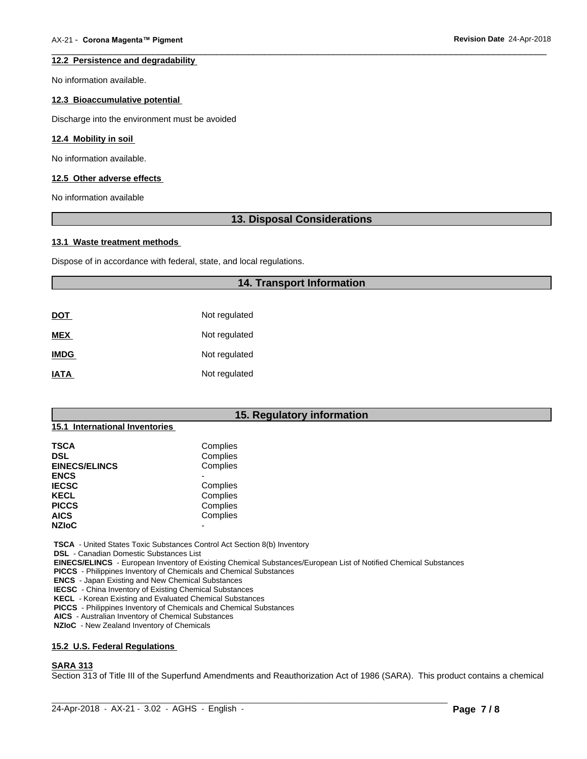#### **12.2 Persistence and degradability**

No information available.

# **12.3 Bioaccumulative potential**

Discharge into the environment must be avoided

# **12.4 Mobility in soil**

No information available.

#### **12.5 Other adverse effects**

No information available

# **13. Disposal Considerations**

 $\overline{\phantom{a}}$  ,  $\overline{\phantom{a}}$  ,  $\overline{\phantom{a}}$  ,  $\overline{\phantom{a}}$  ,  $\overline{\phantom{a}}$  ,  $\overline{\phantom{a}}$  ,  $\overline{\phantom{a}}$  ,  $\overline{\phantom{a}}$  ,  $\overline{\phantom{a}}$  ,  $\overline{\phantom{a}}$  ,  $\overline{\phantom{a}}$  ,  $\overline{\phantom{a}}$  ,  $\overline{\phantom{a}}$  ,  $\overline{\phantom{a}}$  ,  $\overline{\phantom{a}}$  ,  $\overline{\phantom{a}}$ 

#### **13.1 Waste treatment methods**

Dispose of in accordance with federal, state, and local regulations.

# **14. Transport Information**

| <b>DOT</b>  | Not regulated |
|-------------|---------------|
| <b>MEX</b>  | Not regulated |
| <b>IMDG</b> | Not regulated |
| <b>IATA</b> | Not regulated |

# **15. Regulatory information**

# **15.1 International Inventories**

| TSCA                 | Complies |  |
|----------------------|----------|--|
| DSL                  | Complies |  |
| <b>EINECS/ELINCS</b> | Complies |  |
| <b>ENCS</b>          |          |  |
| <b>IECSC</b>         | Complies |  |
| KECL                 | Complies |  |
| <b>PICCS</b>         | Complies |  |
| <b>AICS</b>          | Complies |  |
| <b>NZIoC</b>         | -        |  |
|                      |          |  |

 **TSCA** - United States Toxic Substances Control Act Section 8(b) Inventory

 **DSL** - Canadian Domestic Substances List

 **EINECS/ELINCS** - European Inventory of Existing Chemical Substances/European List of Notified Chemical Substances

 **PICCS** - Philippines Inventory of Chemicals and Chemical Substances

 **ENCS** - Japan Existing and New Chemical Substances

 **IECSC** - China Inventory of Existing Chemical Substances

 **KECL** - Korean Existing and Evaluated Chemical Substances

 **PICCS** - Philippines Inventory of Chemicals and Chemical Substances

 **AICS** - Australian Inventory of Chemical Substances

 **NZIoC** - New Zealand Inventory of Chemicals

#### **15.2 U.S. Federal Regulations**

#### **SARA 313**

Section 313 of Title III of the Superfund Amendments and Reauthorization Act of 1986 (SARA). This product contains a chemical